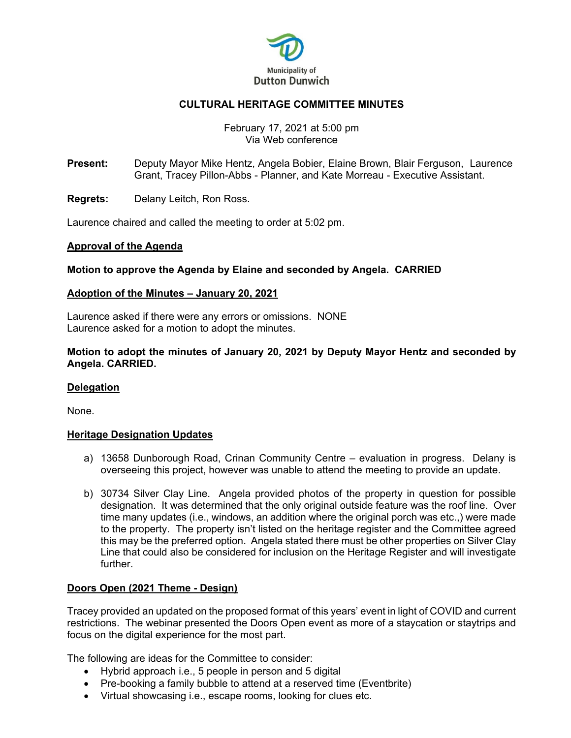

# **CULTURAL HERITAGE COMMITTEE MINUTES**

### February 17, 2021 at 5:00 pm Via Web conference

**Present:** Deputy Mayor Mike Hentz, Angela Bobier, Elaine Brown, Blair Ferguson, Laurence Grant, Tracey Pillon-Abbs - Planner, and Kate Morreau - Executive Assistant.

**Regrets:** Delany Leitch, Ron Ross.

Laurence chaired and called the meeting to order at 5:02 pm.

### **Approval of the Agenda**

### **Motion to approve the Agenda by Elaine and seconded by Angela. CARRIED**

### **Adoption of the Minutes – January 20, 2021**

Laurence asked if there were any errors or omissions. NONE Laurence asked for a motion to adopt the minutes.

**Motion to adopt the minutes of January 20, 2021 by Deputy Mayor Hentz and seconded by Angela. CARRIED.** 

### **Delegation**

None.

### **Heritage Designation Updates**

- a) 13658 Dunborough Road, Crinan Community Centre evaluation in progress. Delany is overseeing this project, however was unable to attend the meeting to provide an update.
- b) 30734 Silver Clay Line. Angela provided photos of the property in question for possible designation. It was determined that the only original outside feature was the roof line. Over time many updates (i.e., windows, an addition where the original porch was etc.,) were made to the property. The property isn't listed on the heritage register and the Committee agreed this may be the preferred option. Angela stated there must be other properties on Silver Clay Line that could also be considered for inclusion on the Heritage Register and will investigate further.

## **Doors Open (2021 Theme - Design)**

Tracey provided an updated on the proposed format of this years' event in light of COVID and current restrictions. The webinar presented the Doors Open event as more of a staycation or staytrips and focus on the digital experience for the most part.

The following are ideas for the Committee to consider:

- Hybrid approach i.e., 5 people in person and 5 digital
- Pre-booking a family bubble to attend at a reserved time (Eventbrite)
- Virtual showcasing i.e., escape rooms, looking for clues etc.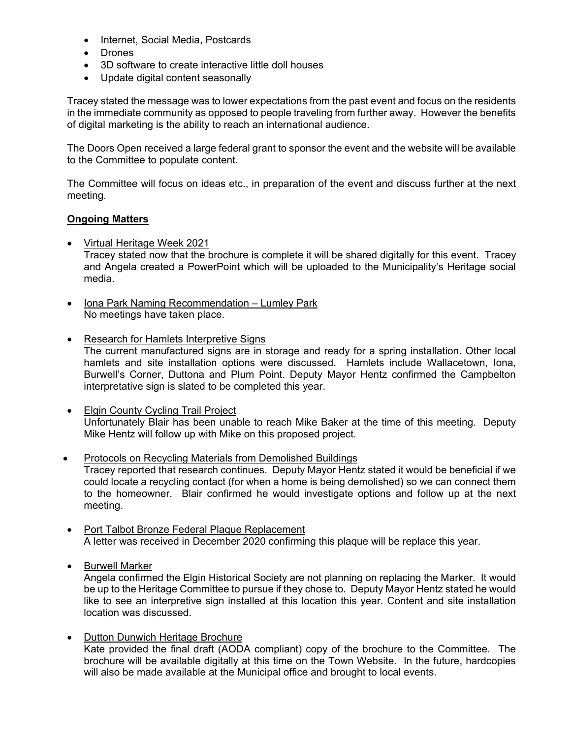- Internet, Social Media, Postcards
- Drones
- 3D software to create interactive little doll houses
- Update digital content seasonally

Tracey stated the message was to lower expectations from the past event and focus on the residents in the immediate community as opposed to people traveling from further away. However the benefits of digital marketing is the ability to reach an international audience.

The Doors Open received a large federal grant to sponsor the event and the website will be available to the Committee to populate content.

The Committee will focus on ideas etc., in preparation of the event and discuss further at the next meeting.

## **Ongoing Matters**

- Virtual Heritage Week 2021 Tracey stated now that the brochure is complete it will be shared digitally for this event. Tracey and Angela created a PowerPoint which will be uploaded to the Municipality's Heritage social media.
- Iona Park Naming Recommendation Lumley Park No meetings have taken place.
- Research for Hamlets Interpretive Signs The current manufactured signs are in storage and ready for a spring installation. Other local hamlets and site installation options were discussed. Hamlets include Wallacetown, Iona, Burwell's Corner, Duttona and Plum Point. Deputy Mayor Hentz confirmed the Campbelton interpretative sign is slated to be completed this year.
- Elgin County Cycling Trail Project Unfortunately Blair has been unable to reach Mike Baker at the time of this meeting. Deputy Mike Hentz will follow up with Mike on this proposed project.
- Protocols on Recycling Materials from Demolished Buildings Tracey reported that research continues. Deputy Mayor Hentz stated it would be beneficial if we could locate a recycling contact (for when a home is being demolished) so we can connect them to the homeowner. Blair confirmed he would investigate options and follow up at the next meeting.
- Port Talbot Bronze Federal Plaque Replacement A letter was received in December 2020 confirming this plaque will be replace this year.
- **•** Burwell Marker

Angela confirmed the Elgin Historical Society are not planning on replacing the Marker. It would be up to the Heritage Committee to pursue if they chose to. Deputy Mayor Hentz stated he would like to see an interpretive sign installed at this location this year. Content and site installation location was discussed.

• Dutton Dunwich Heritage Brochure Kate provided the final draft (AODA compliant) copy of the brochure to the Committee. The brochure will be available digitally at this time on the Town Website. In the future, hardcopies will also be made available at the Municipal office and brought to local events.